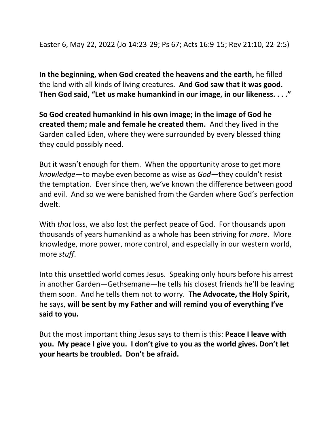**In the beginning, when God created the heavens and the earth,** he filled the land with all kinds of living creatures. **And God saw that it was good. Then God said, "Let us make humankind in our image, in our likeness. . . ."** 

**So God created humankind in his own image; in the image of God he created them; male and female he created them.** And they lived in the Garden called Eden, where they were surrounded by every blessed thing they could possibly need.

But it wasn't enough for them. When the opportunity arose to get more *knowledge*—to maybe even become as wise as *God*—they couldn't resist the temptation. Ever since then, we've known the difference between good and evil. And so we were banished from the Garden where God's perfection dwelt.

With *that* loss, we also lost the perfect peace of God. For thousands upon thousands of years humankind as a whole has been striving for *more*. More knowledge, more power, more control, and especially in our western world, more *stuff*.

Into this unsettled world comes Jesus. Speaking only hours before his arrest in another Garden—Gethsemane—he tells his closest friends he'll be leaving them soon. And he tells them not to worry. **The Advocate, the Holy Spirit,**  he says, **will be sent by my Father and will remind you of everything I've said to you.** 

But the most important thing Jesus says to them is this: **Peace I leave with you. My peace I give you. I don't give to you as the world gives. Don't let your hearts be troubled. Don't be afraid.**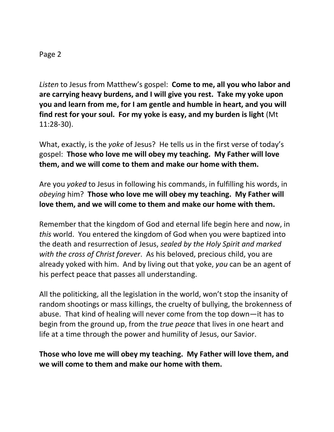*Listen* to Jesus from Matthew's gospel: **Come to me, all you who labor and are carrying heavy burdens, and I will give you rest. Take my yoke upon you and learn from me, for I am gentle and humble in heart, and you will find rest for your soul. For my yoke is easy, and my burden is light** (Mt 11:28-30).

What, exactly, is the *yoke* of Jesus? He tells us in the first verse of today's gospel: **Those who love me will obey my teaching. My Father will love them, and we will come to them and make our home with them.**

Are you *yoked* to Jesus in following his commands, in fulfilling his words, in *obeying* him? **Those who love me will obey my teaching. My Father will love them, and we will come to them and make our home with them.**

Remember that the kingdom of God and eternal life begin here and now, in *this* world. You entered the kingdom of God when you were baptized into the death and resurrection of Jesus, *sealed by the Holy Spirit and marked with the cross of Christ forever*. As his beloved, precious child, you are already yoked with him. And by living out that yoke, *you* can be an agent of his perfect peace that passes all understanding.

All the politicking, all the legislation in the world, won't stop the insanity of random shootings or mass killings, the cruelty of bullying, the brokenness of abuse. That kind of healing will never come from the top down—it has to begin from the ground up, from the *true peace* that lives in one heart and life at a time through the power and humility of Jesus, our Savior.

## **Those who love me will obey my teaching. My Father will love them, and we will come to them and make our home with them.**